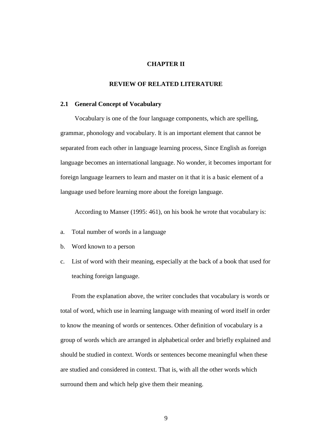## **CHAPTER II**

### **REVIEW OF RELATED LITERATURE**

### **2.1 General Concept of Vocabulary**

Vocabulary is one of the four language components, which are spelling, grammar, phonology and vocabulary. It is an important element that cannot be separated from each other in language learning process, Since English as foreign language becomes an international language. No wonder, it becomes important for foreign language learners to learn and master on it that it is a basic element of a language used before learning more about the foreign language.

According to Manser (1995: 461), on his book he wrote that vocabulary is:

- a. Total number of words in a language
- b. Word known to a person
- c. List of word with their meaning, especially at the back of a book that used for teaching foreign language.

From the explanation above, the writer concludes that vocabulary is words or total of word, which use in learning language with meaning of word itself in order to know the meaning of words or sentences. Other definition of vocabulary is a group of words which are arranged in alphabetical order and briefly explained and should be studied in context. Words or sentences become meaningful when these are studied and considered in context. That is, with all the other words which surround them and which help give them their meaning.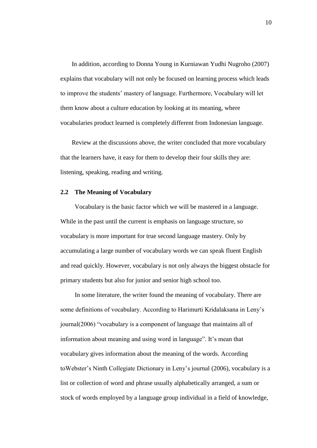In addition, according to Donna Young in Kurniawan Yudhi Nugroho (2007) explains that vocabulary will not only be focused on learning process which leads to improve the students" mastery of language. Furthermore, Vocabulary will let them know about a culture education by looking at its meaning, where vocabularies product learned is completely different from Indonesian language.

Review at the discussions above, the writer concluded that more vocabulary that the learners have, it easy for them to develop their four skills they are: listening, speaking, reading and writing.

#### **2.2 The Meaning of Vocabulary**

Vocabulary is the basic factor which we will be mastered in a language. While in the past until the current is emphasis on language structure, so vocabulary is more important for true second language mastery. Only by accumulating a large number of vocabulary words we can speak fluent English and read quickly. However, vocabulary is not only always the biggest obstacle for primary students but also for junior and senior high school too.

In some literature, the writer found the meaning of vocabulary. There are some definitions of vocabulary. According to Harimurti Kridalaksana in Leny"s journal(2006) "vocabulary is a component of language that maintains all of information about meaning and using word in language". It"s mean that vocabulary gives information about the meaning of the words. According toWebster"s Ninth Collegiate Dictionary in Leny"s journal (2006), vocabulary is a list or collection of word and phrase usually alphabetically arranged, a sum or stock of words employed by a language group individual in a field of knowledge,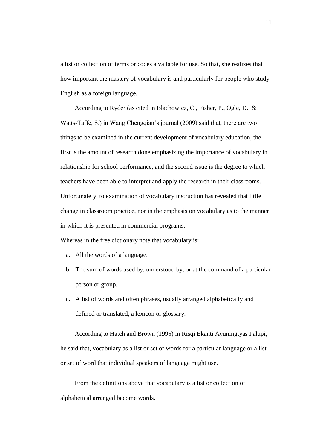a list or collection of terms or codes a vailable for use. So that, she realizes that how important the mastery of vocabulary is and particularly for people who study English as a foreign language.

According to Ryder (as cited in Blachowicz, C., Fisher, P., Ogle, D., & Watts-Taffe, S.) in Wang Chengqian"s journal (2009) said that, there are two things to be examined in the current development of vocabulary education, the first is the amount of research done emphasizing the importance of vocabulary in relationship for school performance, and the second issue is the degree to which teachers have been able to interpret and apply the research in their classrooms. Unfortunately, to examination of vocabulary instruction has revealed that little change in classroom practice, nor in the emphasis on vocabulary as to the manner in which it is presented in commercial programs.

Whereas in the free dictionary note that vocabulary is:

- a. All the words of a language.
- b. The sum of words used by, understood by, or at the command of a particular person or group.
- c. A list of words and often phrases, usually arranged alphabetically and defined or translated, a lexicon or glossary.

According to Hatch and Brown (1995) in Risqi Ekanti Ayuningtyas Palupi, he said that, vocabulary as a list or set of words for a particular language or a list or set of word that individual speakers of language might use.

From the definitions above that vocabulary is a list or collection of alphabetical arranged become words.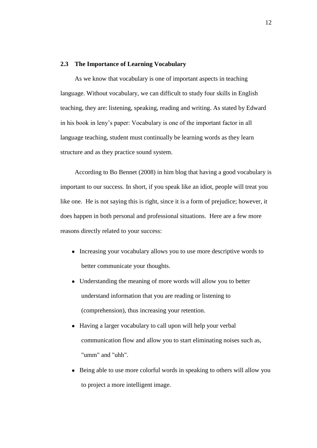### **2.3 The Importance of Learning Vocabulary**

As we know that vocabulary is one of important aspects in teaching language. Without vocabulary, we can difficult to study four skills in English teaching, they are: listening, speaking, reading and writing. As stated by Edward in his book in leny"s paper: Vocabulary is one of the important factor in all language teaching, student must continually be learning words as they learn structure and as they practice sound system.

According to Bo Bennet (2008) in him blog that having a good vocabulary is important to our success. In short, if you speak like an idiot, people will treat you like one. He is not saying this is right, since it is a form of prejudice; however, it does happen in both personal and professional situations. Here are a few more reasons directly related to your success:

- Increasing your vocabulary allows you to use more descriptive words to better communicate your thoughts.
- Understanding the meaning of more words will allow you to better understand information that you are reading or listening to (comprehension), thus increasing your retention.
- Having a larger vocabulary to call upon will help your verbal communication flow and allow you to start eliminating noises such as, "umm" and "uhh".
- Being able to use more colorful words in speaking to others will allow you to project a more intelligent image.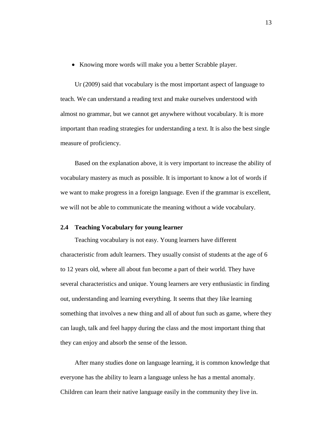Knowing more words will make you a better Scrabble player.

Ur (2009) said that vocabulary is the most important aspect of language to teach. We can understand a reading text and make ourselves understood with almost no grammar, but we cannot get anywhere without vocabulary. It is more important than reading strategies for understanding a text. It is also the best single measure of proficiency.

Based on the explanation above, it is very important to increase the ability of vocabulary mastery as much as possible. It is important to know a lot of words if we want to make progress in a foreign language. Even if the grammar is excellent, we will not be able to communicate the meaning without a wide vocabulary.

#### **2.4 Teaching Vocabulary for young learner**

Teaching vocabulary is not easy. Young learners have different characteristic from adult learners. They usually consist of students at the age of 6 to 12 years old, where all about fun become a part of their world. They have several characteristics and unique. Young learners are very enthusiastic in finding out, understanding and learning everything. It seems that they like learning something that involves a new thing and all of about fun such as game, where they can laugh, talk and feel happy during the class and the most important thing that they can enjoy and absorb the sense of the lesson.

After many studies done on language learning, it is common knowledge that everyone has the ability to learn a language unless he has a mental anomaly. Children can learn their native language easily in the community they live in.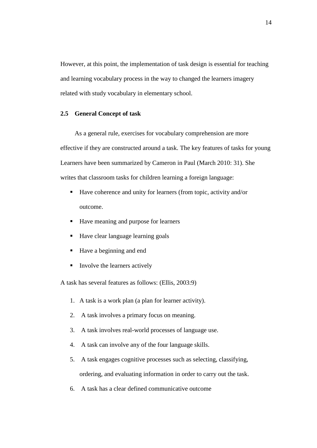However, at this point, the implementation of task design is essential for teaching and learning vocabulary process in the way to changed the learners imagery related with study vocabulary in elementary school.

# **2.5 General Concept of task**

As a general rule, exercises for vocabulary comprehension are more effective if they are constructed around a task. The key features of tasks for young Learners have been summarized by Cameron in Paul (March 2010: 31). She writes that classroom tasks for children learning a foreign language:

- Have coherence and unity for learners (from topic, activity and/or outcome.
- Have meaning and purpose for learners
- Have clear language learning goals
- Have a beginning and end
- $\blacksquare$  Involve the learners actively

A task has several features as follows: (Ellis, 2003:9)

- 1. A task is a work plan (a plan for learner activity).
- 2. A task involves a primary focus on meaning.
- 3. A task involves real-world processes of language use.
- 4. A task can involve any of the four language skills.
- 5. A task engages cognitive processes such as selecting, classifying, ordering, and evaluating information in order to carry out the task.
- 6. A task has a clear defined communicative outcome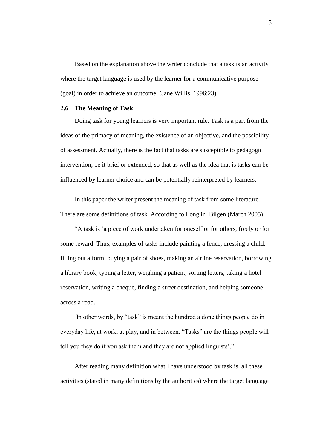Based on the explanation above the writer conclude that a task is an activity where the target language is used by the learner for a communicative purpose (goal) in order to achieve an outcome. (Jane Willis, 1996:23)

# **2.6 The Meaning of Task**

Doing task for young learners is very important rule. Task is a part from the ideas of the primacy of meaning, the existence of an objective, and the possibility of assessment. Actually, there is the fact that tasks are susceptible to pedagogic intervention, be it brief or extended, so that as well as the idea that is tasks can be influenced by learner choice and can be potentially reinterpreted by learners.

In this paper the writer present the meaning of task from some literature. There are some definitions of task. According to Long in Bilgen (March 2005).

"A task is "a piece of work undertaken for oneself or for others, freely or for some reward. Thus, examples of tasks include painting a fence, dressing a child, filling out a form, buying a pair of shoes, making an airline reservation, borrowing a library book, typing a letter, weighing a patient, sorting letters, taking a hotel reservation, writing a cheque, finding a street destination, and helping someone across a road.

In other words, by "task" is meant the hundred a done things people do in everyday life, at work, at play, and in between. "Tasks" are the things people will tell you they do if you ask them and they are not applied linguists'."

After reading many definition what I have understood by task is, all these activities (stated in many definitions by the authorities) where the target language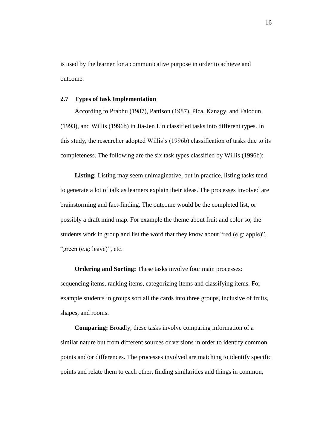is used by the learner for a communicative purpose in order to achieve and outcome.

### **2.7 Types of task Implementation**

According to Prabhu (1987), Pattison (1987), Pica, Kanagy, and Falodun (1993), and Willis (1996b) in Jia-Jen Lin classified tasks into different types. In this study, the researcher adopted Willis"s (1996b) classification of tasks due to its completeness. The following are the six task types classified by Willis (1996b):

Listing: Listing may seem unimaginative, but in practice, listing tasks tend to generate a lot of talk as learners explain their ideas. The processes involved are brainstorming and fact-finding. The outcome would be the completed list, or possibly a draft mind map. For example the theme about fruit and color so, the students work in group and list the word that they know about "red (e.g: apple)", "green (e.g: leave)", etc.

**Ordering and Sorting:** These tasks involve four main processes: sequencing items, ranking items, categorizing items and classifying items. For example students in groups sort all the cards into three groups, inclusive of fruits, shapes, and rooms.

**Comparing:** Broadly, these tasks involve comparing information of a similar nature but from different sources or versions in order to identify common points and/or differences. The processes involved are matching to identify specific points and relate them to each other, finding similarities and things in common,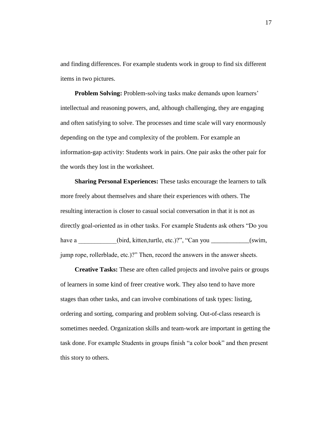and finding differences. For example students work in group to find six different items in two pictures.

**Problem Solving:** Problem-solving tasks make demands upon learners' intellectual and reasoning powers, and, although challenging, they are engaging and often satisfying to solve. The processes and time scale will vary enormously depending on the type and complexity of the problem. For example an information-gap activity: Students work in pairs. One pair asks the other pair for the words they lost in the worksheet.

**Sharing Personal Experiences:** These tasks encourage the learners to talk more freely about themselves and share their experiences with others. The resulting interaction is closer to casual social conversation in that it is not as directly goal-oriented as in other tasks. For example Students ask others "Do you have a comparison (bird, kitten,turtle, etc.)?", "Can you \_\_\_\_\_\_\_\_\_\_(swim, jump rope, rollerblade, etc.)?" Then, record the answers in the answer sheets.

**Creative Tasks:** These are often called projects and involve pairs or groups of learners in some kind of freer creative work. They also tend to have more stages than other tasks, and can involve combinations of task types: listing, ordering and sorting, comparing and problem solving. Out-of-class research is sometimes needed. Organization skills and team-work are important in getting the task done. For example Students in groups finish "a color book" and then present this story to others.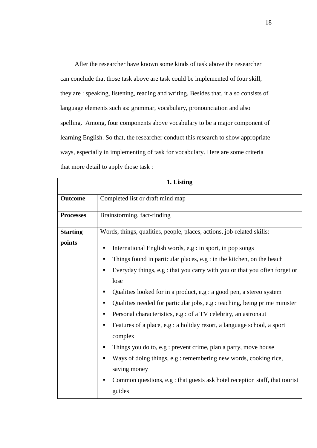After the researcher have known some kinds of task above the researcher can conclude that those task above are task could be implemented of four skill, they are : speaking, listening, reading and writing. Besides that, it also consists of language elements such as: grammar, vocabulary, pronounciation and also spelling. Among, four components above vocabulary to be a major component of learning English. So that, the researcher conduct this research to show appropriate ways, especially in implementing of task for vocabulary. Here are some criteria that more detail to apply those task :

| 1. Listing       |                                                                                  |  |  |  |  |  |
|------------------|----------------------------------------------------------------------------------|--|--|--|--|--|
| <b>Outcome</b>   | Completed list or draft mind map                                                 |  |  |  |  |  |
| <b>Processes</b> | Brainstorming, fact-finding                                                      |  |  |  |  |  |
| <b>Starting</b>  | Words, things, qualities, people, places, actions, job-related skills:           |  |  |  |  |  |
| points           | International English words, e.g : in sport, in pop songs<br>п                   |  |  |  |  |  |
|                  | Things found in particular places, e.g : in the kitchen, on the beach<br>п       |  |  |  |  |  |
|                  | Everyday things, e.g : that you carry with you or that you often forget or<br>٠  |  |  |  |  |  |
|                  | lose                                                                             |  |  |  |  |  |
|                  | Qualities looked for in a product, e.g : a good pen, a stereo system<br>п        |  |  |  |  |  |
|                  | Qualities needed for particular jobs, e.g : teaching, being prime minister<br>п  |  |  |  |  |  |
|                  | Personal characteristics, e.g : of a TV celebrity, an astronaut                  |  |  |  |  |  |
|                  | Features of a place, e.g : a holiday resort, a language school, a sport<br>п     |  |  |  |  |  |
|                  | complex                                                                          |  |  |  |  |  |
|                  | Things you do to, e.g : prevent crime, plan a party, move house<br>п             |  |  |  |  |  |
|                  | Ways of doing things, e.g : remembering new words, cooking rice,<br>п            |  |  |  |  |  |
|                  | saving money                                                                     |  |  |  |  |  |
|                  | Common questions, e.g : that guests ask hotel reception staff, that tourist<br>п |  |  |  |  |  |
|                  | guides                                                                           |  |  |  |  |  |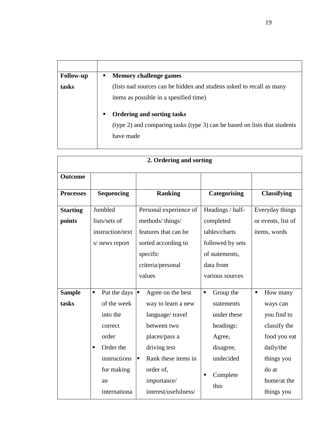| <b>Follow-up</b> | <b>Memory challenge games</b><br>٠                                                                                               |
|------------------|----------------------------------------------------------------------------------------------------------------------------------|
| tasks            | (lists nad sources can be hidden and studens asked to recall as many<br>items as possible in a spesified time)                   |
|                  | <b>Ordering and sorting tasks</b><br>٠<br>(type 2) and comparing tasks (type 3) can be based on lists that students<br>have made |

|                           | 2. Ordering and sorting                                                                                                                |                                                                                                                                                                                                              |                                                                                                                               |                                                                                                                                                        |  |  |  |  |
|---------------------------|----------------------------------------------------------------------------------------------------------------------------------------|--------------------------------------------------------------------------------------------------------------------------------------------------------------------------------------------------------------|-------------------------------------------------------------------------------------------------------------------------------|--------------------------------------------------------------------------------------------------------------------------------------------------------|--|--|--|--|
| <b>Outcome</b>            |                                                                                                                                        |                                                                                                                                                                                                              |                                                                                                                               |                                                                                                                                                        |  |  |  |  |
| <b>Processes</b>          | <b>Sequencing</b>                                                                                                                      | <b>Ranking</b>                                                                                                                                                                                               | <b>Categorising</b>                                                                                                           | <b>Classifying</b>                                                                                                                                     |  |  |  |  |
| <b>Starting</b><br>points | Jumbled<br>lists/sets of                                                                                                               | Personal experience of<br>methods/things/                                                                                                                                                                    | Headings / half-<br>completed                                                                                                 | Everyday things<br>or events, list of                                                                                                                  |  |  |  |  |
|                           | instruction/text<br>s/ news report                                                                                                     | features that can be<br>sorted according to<br>specific<br>criteria/personal<br>values                                                                                                                       | tables/charts<br>followed by sets<br>of statements,<br>data from<br>various sources                                           | items, words                                                                                                                                           |  |  |  |  |
| <b>Sample</b><br>tasks    | Put the days<br>Ξ<br>of the week<br>into the<br>correct<br>order<br>Order the<br>٠<br>instructions<br>for making<br>an<br>internationa | $\blacksquare$<br>Agree on the best<br>way to learn a new<br>language/travel<br>between two<br>places/pass a<br>driving test<br>Rank these items in<br>E<br>order of,<br>importance/<br>interest/usefulness/ | Group the<br>$\blacksquare$<br>statements<br>under these<br>headings:<br>Agree,<br>disagree,<br>undecided<br>Complete<br>this | How many<br>$\blacksquare$<br>ways can<br>you find to<br>classify the<br>food you eat<br>daily/the<br>things you<br>do at<br>home/at the<br>things you |  |  |  |  |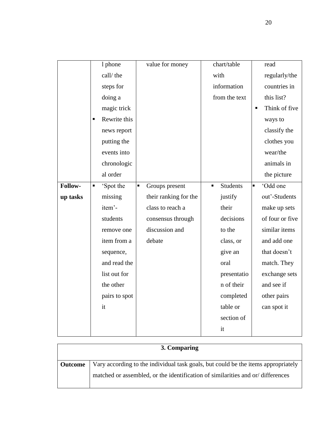|          |   | 1 phone       |   | value for money       |                | chart/table     |                | read            |
|----------|---|---------------|---|-----------------------|----------------|-----------------|----------------|-----------------|
|          |   | call/the      |   |                       |                | with            |                | regularly/the   |
|          |   | steps for     |   |                       |                | information     |                | countries in    |
|          |   | doing a       |   |                       |                | from the text   |                | this list?      |
|          |   | magic trick   |   |                       |                |                 | Ξ              | Think of five   |
|          | Ξ | Rewrite this  |   |                       |                |                 |                | ways to         |
|          |   | news report   |   |                       |                |                 |                | classify the    |
|          |   | putting the   |   |                       |                |                 |                | clothes you     |
|          |   | events into   |   |                       |                |                 |                | wear/the        |
|          |   | chronologic   |   |                       |                |                 |                | animals in      |
|          |   | al order      |   |                       |                |                 |                | the picture     |
| Follow-  | п | 'Spot the     | П | Groups present        | $\blacksquare$ | <b>Students</b> | $\blacksquare$ | 'Odd one        |
| up tasks |   | missing       |   | their ranking for the |                | justify         |                | out'-Students   |
|          |   | item'-        |   | class to reach a      |                | their           |                | make up sets    |
|          |   | students      |   | consensus through     |                | decisions       |                | of four or five |
|          |   | remove one    |   | discussion and        |                | to the          |                | similar items   |
|          |   | item from a   |   | debate                |                | class, or       |                | and add one     |
|          |   | sequence,     |   |                       |                | give an         |                | that doesn't    |
|          |   | and read the  |   |                       |                | oral            |                | match. They     |
|          |   | list out for  |   |                       |                | presentatio     |                | exchange sets   |
|          |   | the other     |   |                       |                | n of their      |                | and see if      |
|          |   | pairs to spot |   |                       |                | completed       |                | other pairs     |
|          |   | it            |   |                       |                | table or        |                | can spot it     |
|          |   |               |   |                       |                | section of      |                |                 |
|          |   |               |   |                       |                | it              |                |                 |

| 3. Comparing   |                                                                                   |  |  |  |  |
|----------------|-----------------------------------------------------------------------------------|--|--|--|--|
| <b>Outcome</b> | Vary according to the individual task goals, but could be the items appropriately |  |  |  |  |
|                | matched or assembled, or the identification of similarities and or/differences    |  |  |  |  |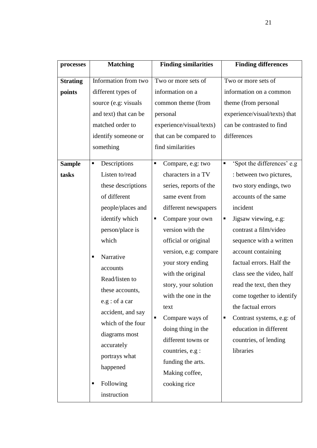| processes       | <b>Matching</b>       | <b>Finding similarities</b> | <b>Finding differences</b>      |
|-----------------|-----------------------|-----------------------------|---------------------------------|
| <b>Strating</b> | Information from two  | Two or more sets of         | Two or more sets of             |
| points          | different types of    | information on a            | information on a common         |
|                 | source (e.g: visuals  | common theme (from          | theme (from personal            |
|                 | and text) that can be | personal                    | experience/visual/texts) that   |
|                 | matched order to      |                             | can be contrasted to find       |
|                 |                       | experience/visual/texts)    |                                 |
|                 | identify someone or   | that can be compared to     | differences                     |
|                 | something             | find similarities           |                                 |
| <b>Sample</b>   | Descriptions<br>٠     | Compare, e.g: two<br>Ξ      | 'Spot the differences' e.g<br>п |
| tasks           | Listen to/read        | characters in a TV          | : between two pictures,         |
|                 | these descriptions    | series, reports of the      | two story endings, two          |
|                 | of different          | same event from             | accounts of the same            |
|                 | people/places and     | different newspapers        | incident                        |
|                 | identify which        | Compare your own<br>ш       | Jigsaw viewing, e.g:<br>п       |
|                 | person/place is       | version with the            | contrast a film/video           |
|                 | which                 | official or original        | sequence with a written         |
|                 |                       | version, e.g: compare       | account containing              |
|                 | Narrative<br>п        | your story ending           | factual errors. Half the        |
|                 | accounts              | with the original           | class see the video, half       |
|                 | Read/listen to        | story, your solution        | read the text, then they        |
|                 | these accounts,       | with the one in the         | come together to identify       |
|                 | e.g : of a car        |                             |                                 |
|                 | accident, and say     | text                        | the factual errors              |
|                 | which of the four     | Compare ways of<br>Ξ        | Contrast systems, e.g: of<br>Е  |
|                 | diagrams most         | doing thing in the          | education in different          |
|                 | accurately            | different towns or          | countries, of lending           |
|                 | portrays what         | countries, e.g :            | libraries                       |
|                 | happened              | funding the arts.           |                                 |
|                 |                       | Making coffee,              |                                 |
|                 | Following<br>٠        | cooking rice                |                                 |
|                 | instruction           |                             |                                 |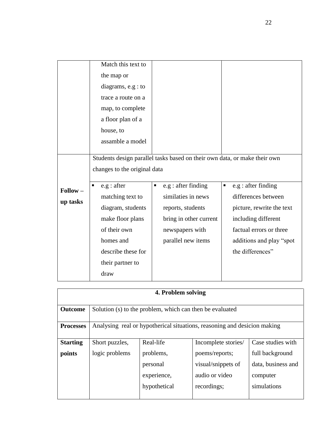|                   | Match this text to                                                        |                        |                           |  |  |  |  |
|-------------------|---------------------------------------------------------------------------|------------------------|---------------------------|--|--|--|--|
|                   | the map or                                                                |                        |                           |  |  |  |  |
|                   | diagrams, $e.g: to$                                                       |                        |                           |  |  |  |  |
|                   | trace a route on a                                                        |                        |                           |  |  |  |  |
|                   | map, to complete                                                          |                        |                           |  |  |  |  |
|                   | a floor plan of a                                                         |                        |                           |  |  |  |  |
|                   | house, to                                                                 |                        |                           |  |  |  |  |
|                   | assamble a model                                                          |                        |                           |  |  |  |  |
|                   |                                                                           |                        |                           |  |  |  |  |
|                   | Students design parallel tasks based on their own data, or make their own |                        |                           |  |  |  |  |
|                   | changes to the original data                                              |                        |                           |  |  |  |  |
| $\text{Follow} -$ | e.g : after<br>٠                                                          | e.g : after finding    | e.g : after finding<br>ш  |  |  |  |  |
|                   | matching text to                                                          | similaties in news     | differences between       |  |  |  |  |
| up tasks          | diagram, students                                                         | reports, students      | picture, rewrite the text |  |  |  |  |
|                   | make floor plans                                                          | bring in other current | including different       |  |  |  |  |
|                   | of their own                                                              | newspapers with        | factual errors or three   |  |  |  |  |
|                   | homes and                                                                 | parallel new items     | additions and play "spot  |  |  |  |  |
|                   | describe these for                                                        |                        | the differences"          |  |  |  |  |
|                   | their partner to                                                          |                        |                           |  |  |  |  |
|                   | draw                                                                      |                        |                           |  |  |  |  |

| 4. Problem solving |                                                                          |              |                     |                    |  |  |  |  |
|--------------------|--------------------------------------------------------------------------|--------------|---------------------|--------------------|--|--|--|--|
| <b>Outcome</b>     | Solution (s) to the problem, which can then be evaluated                 |              |                     |                    |  |  |  |  |
| <b>Processes</b>   | Analysing real or hypotherical situations, reasoning and desicion making |              |                     |                    |  |  |  |  |
| <b>Starting</b>    | Short puzzles,                                                           | Real-life    | Incomplete stories/ | Case studies with  |  |  |  |  |
| points             | logic problems                                                           | problems,    | poems/reports;      | full background    |  |  |  |  |
|                    |                                                                          | personal     | visual/snippets of  | data, business and |  |  |  |  |
|                    |                                                                          | experience,  | audio or video      | computer           |  |  |  |  |
|                    |                                                                          | hypothetical | recordings;         | simulations        |  |  |  |  |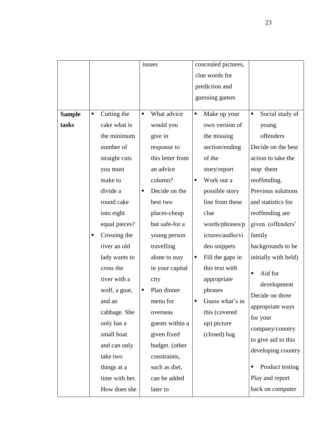|               |                                |                |              | issues           |                     | concealed pictures, |                      |
|---------------|--------------------------------|----------------|--------------|------------------|---------------------|---------------------|----------------------|
|               |                                |                |              |                  |                     | clue words for      |                      |
|               |                                |                |              |                  |                     | prediction and      |                      |
|               |                                |                |              |                  |                     | guessing games      |                      |
|               |                                |                |              |                  |                     |                     |                      |
| <b>Sample</b> | П                              | Cutting the    | Ξ            | What advice      | П                   | Make up your        | Social study of<br>Ξ |
| tasks         |                                | cake what is   |              | would you        |                     | own version of      | young                |
|               |                                | the minimum    |              | give in          |                     | the missing         | offenders            |
|               |                                | number of      |              | response to      |                     | section/ending      | Decide on the best   |
|               |                                | straight cuts  |              | this letter from |                     | of the              | action to take the   |
|               |                                | you must       |              | an advice        |                     | story/report        | stop them            |
|               |                                | make to        |              | column?          | ٠                   | Work out a          | reoffending.         |
|               |                                | divide a       | ٠            | Decide on the    |                     | possible story      | Previous solutions   |
|               |                                | round cake     |              | best two         |                     | line from these     | and statistics for   |
|               |                                | into eight     |              | places-cheap     |                     | clue                | reoffending are      |
|               | equal pieces?                  | but safe-for a |              | words/phrases/p  | given. (offenders'  |                     |                      |
|               | п                              | Crossing the   |              | young person     |                     | ictures/audio/vi    | family               |
|               |                                | river an old   |              | travelling       |                     | deo snippets        | backgrounds to be    |
|               |                                | lady wants to  |              | alone to stay    | п                   | Fill the gaps in    | initially with held) |
|               |                                | cross the      |              | in your capital  |                     | this text with      | Aid for              |
|               |                                | river with a   |              | city             |                     | appropriate         |                      |
|               |                                | wolf, a goat,  | п            | Plan dinner      |                     | phrases             | development          |
|               |                                | and an         |              | menu for         |                     | Guess what's in     | Decide on three      |
|               |                                | cabbage. She   |              | overseas         |                     | this (covered       | appropriate ways     |
|               |                                | only has a     |              | guests within a  |                     | up) picture         | for your             |
|               |                                | small boat     |              | given fixed      |                     | (closed) bag        | company/country      |
|               | budget. (other<br>and can only |                |              |                  | to give aid to this |                     |                      |
|               |                                | take two       | constraints, |                  |                     | developing country  |                      |
|               |                                | things at a    |              | such as diet,    |                     |                     | Product testing      |
|               |                                | time with her. |              | can be added     |                     |                     | Play and report      |
|               |                                | How does she   |              | later to         |                     |                     | back on computer     |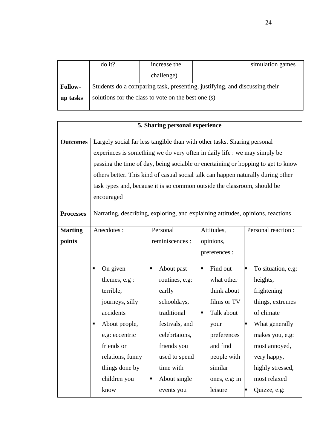|                | $\frac{d}{dt}$                                                             | increase the |  | simulation games |  |  |  |
|----------------|----------------------------------------------------------------------------|--------------|--|------------------|--|--|--|
|                |                                                                            | challenge)   |  |                  |  |  |  |
| <b>Follow-</b> | Students do a comparing task, presenting, justifying, and discussing their |              |  |                  |  |  |  |
| up tasks       | solutions for the class to vote on the best one (s)                        |              |  |                  |  |  |  |

|                           | 5. Sharing personal experience                                                                                                                                                                                                                                                                                                                                                                                          |                                                                                                                                                                                               |                                                                                                                                                                       |                                                                                                                                                                                                                            |  |  |  |  |
|---------------------------|-------------------------------------------------------------------------------------------------------------------------------------------------------------------------------------------------------------------------------------------------------------------------------------------------------------------------------------------------------------------------------------------------------------------------|-----------------------------------------------------------------------------------------------------------------------------------------------------------------------------------------------|-----------------------------------------------------------------------------------------------------------------------------------------------------------------------|----------------------------------------------------------------------------------------------------------------------------------------------------------------------------------------------------------------------------|--|--|--|--|
| <b>Outcomes</b>           | Largely social far less tangible than with other tasks. Sharing personal<br>experinces is something we do very often in daily life : we may simply be<br>passing the time of day, being sociable or enertaining or hopping to get to know<br>others better. This kind of casual social talk can happen naturally during other<br>task types and, because it is so common outside the classroom, should be<br>encouraged |                                                                                                                                                                                               |                                                                                                                                                                       |                                                                                                                                                                                                                            |  |  |  |  |
| <b>Processes</b>          | Narrating, describing, exploring, and explaining attitudes, opinions, reactions                                                                                                                                                                                                                                                                                                                                         |                                                                                                                                                                                               |                                                                                                                                                                       |                                                                                                                                                                                                                            |  |  |  |  |
| <b>Starting</b><br>points | Anecdotes:                                                                                                                                                                                                                                                                                                                                                                                                              | Personal<br>reminiscences :                                                                                                                                                                   | Attitudes,<br>opinions,<br>preferences :                                                                                                                              | Personal reaction :                                                                                                                                                                                                        |  |  |  |  |
|                           | On given<br>٠<br>themes, e.g :<br>terrible,<br>journeys, silly<br>accidents<br>About people,<br>٠<br>e.g: eccentric<br>friends or<br>relations, funny<br>things done by<br>children you<br>know                                                                                                                                                                                                                         | About past<br>×,<br>routines, e.g:<br>earlly<br>schooldays,<br>traditional<br>festivals, and<br>celebrtaions,<br>friends you<br>used to spend<br>time with<br>About single<br>п<br>events you | Find out<br>٠<br>what other<br>think about<br>films or TV<br>Talk about<br>٠<br>your<br>preferences<br>and find<br>people with<br>similar<br>ones, e.g: in<br>leisure | To situation, e.g:<br>heights,<br>frightening<br>things, extremes<br>of climate<br>What generally<br>makes you, e.g:<br>most annoyed,<br>very happy,<br>highly stressed,<br>most relaxed<br>Quizze, e.g:<br>$\blacksquare$ |  |  |  |  |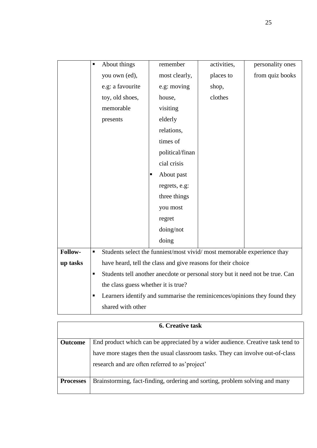|          | п | About things                                                           | remember        | activities, | personality ones                                                              |
|----------|---|------------------------------------------------------------------------|-----------------|-------------|-------------------------------------------------------------------------------|
|          |   | you own (ed),                                                          | most clearly,   | places to   | from quiz books                                                               |
|          |   | e.g: a favourite                                                       | e.g: moving     | shop,       |                                                                               |
|          |   | toy, old shoes,                                                        | house,          | clothes     |                                                                               |
|          |   | memorable                                                              | visiting        |             |                                                                               |
|          |   | presents                                                               | elderly         |             |                                                                               |
|          |   |                                                                        | relations,      |             |                                                                               |
|          |   |                                                                        | times of        |             |                                                                               |
|          |   |                                                                        | political/finan |             |                                                                               |
|          |   |                                                                        | cial crisis     |             |                                                                               |
|          |   |                                                                        | About past      |             |                                                                               |
|          |   |                                                                        | regrets, e.g:   |             |                                                                               |
|          |   |                                                                        | three things    |             |                                                                               |
|          |   |                                                                        | you most        |             |                                                                               |
|          |   |                                                                        | regret          |             |                                                                               |
|          |   |                                                                        | doing/not       |             |                                                                               |
|          |   |                                                                        | doing           |             |                                                                               |
| Follow-  | П | Students select the funniest/most vivid/most memorable experience thay |                 |             |                                                                               |
| up tasks |   | have heard, tell the class and give reasons for their choice           |                 |             |                                                                               |
|          | п |                                                                        |                 |             | Students tell another anecdote or personal story but it need not be true. Can |
|          |   | the class guess whether it is true?                                    |                 |             |                                                                               |
|          | п |                                                                        |                 |             | Learners identify and summarise the reminicences/opinions they found they     |
|          |   | shared with other                                                      |                 |             |                                                                               |

| <b>6. Creative task</b> |                                                                                 |  |  |  |  |  |  |  |
|-------------------------|---------------------------------------------------------------------------------|--|--|--|--|--|--|--|
|                         |                                                                                 |  |  |  |  |  |  |  |
| <b>Outcome</b>          | End product which can be appreciated by a wider audience. Creative task tend to |  |  |  |  |  |  |  |
|                         | have more stages then the usual classroom tasks. They can involve out-of-class  |  |  |  |  |  |  |  |
|                         | research and are often referred to as' project'                                 |  |  |  |  |  |  |  |
| <b>Processes</b>        | Brainstorming, fact-finding, ordering and sorting, problem solving and many     |  |  |  |  |  |  |  |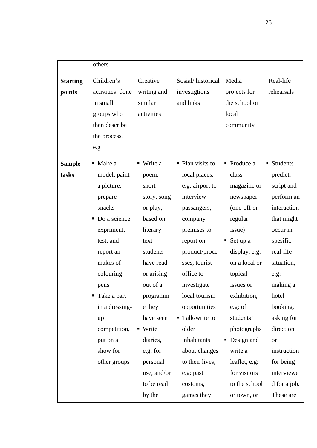|                 | others                      |                        |                              |                      |                 |  |  |  |
|-----------------|-----------------------------|------------------------|------------------------------|----------------------|-----------------|--|--|--|
| <b>Starting</b> | Children's                  | Creative               | Sosial/historical            | Media                | Real-life       |  |  |  |
| points          | activities: done            | writing and            | investigtions                | projects for         | rehearsals      |  |  |  |
|                 | in small                    | similar                | and links                    | the school or        |                 |  |  |  |
|                 | groups who                  | activities             |                              | local                |                 |  |  |  |
|                 | then describe               |                        |                              | community            |                 |  |  |  |
|                 | the process,                |                        |                              |                      |                 |  |  |  |
|                 | e.g                         |                        |                              |                      |                 |  |  |  |
| <b>Sample</b>   | $\blacksquare$ Make a       | • Write a              | • Plan visits to             | • Produce a          | <b>Students</b> |  |  |  |
| tasks           | model, paint                | poem,                  | local places,                | class                | predict,        |  |  |  |
|                 | a picture,                  | short                  | e.g: airport to              | magazine or          | script and      |  |  |  |
|                 | prepare                     | story, song            | interview                    | newspaper            | perform an      |  |  |  |
|                 | snacks                      | or play,               | passangers,                  | (one-off or          | interaction     |  |  |  |
|                 | $\blacksquare$ Do a science | based on               | company                      | regular              | that might      |  |  |  |
|                 | expriment,                  | literary               | premises to                  | issue)               | occur in        |  |  |  |
|                 | test, and                   | text                   | report on                    | Set up a<br>٠        | spesific        |  |  |  |
|                 | report an                   | students               | product/proce                | display, e.g:        | real-life       |  |  |  |
|                 | makes of                    | have read              | sses, tourist                | on a local or        | situation,      |  |  |  |
|                 |                             |                        | office to                    |                      |                 |  |  |  |
|                 | colouring                   | or arising<br>out of a |                              | topical<br>issues or | e.g.            |  |  |  |
|                 | pens                        |                        | investigate                  |                      | making a        |  |  |  |
|                 | ■ Take a part               | programm               | local tourism                | exhibition,          | hotel           |  |  |  |
|                 | in a dressing-              | e they                 | opportunities                | e.g: of              | booking,        |  |  |  |
|                 | up                          | have seen              | $\blacksquare$ Talk/write to | students'            | asking for      |  |  |  |
|                 | competition,                | • Write                | older                        | photographs          | direction       |  |  |  |
|                 | put on a                    | diaries,               | inhabitants                  | Design and<br>Ξ      | <b>or</b>       |  |  |  |
|                 | show for                    | e.g: for               | about changes                | write a              | instruction     |  |  |  |
|                 | other groups                | personal               | to their lives,              | leaflet, e.g:        | for being       |  |  |  |
|                 |                             | use, and/or            | e.g: past                    | for visitors         | interviewe      |  |  |  |
|                 |                             | to be read             | costoms,                     | to the school        | d for a job.    |  |  |  |
|                 |                             | by the                 | games they                   | or town, or          | These are       |  |  |  |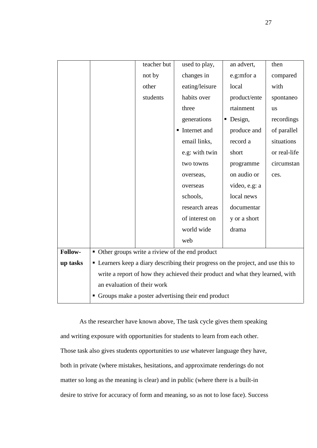|          |                                                                               | teacher but                                      | used to play,                                                                     | an advert,    | then         |  |  |  |
|----------|-------------------------------------------------------------------------------|--------------------------------------------------|-----------------------------------------------------------------------------------|---------------|--------------|--|--|--|
|          |                                                                               | not by                                           | changes in                                                                        | e.g:mfor a    | compared     |  |  |  |
|          |                                                                               | other                                            | eating/leisure                                                                    | local         | with         |  |  |  |
|          |                                                                               | students                                         | habits over                                                                       | product/ente  | spontaneo    |  |  |  |
|          |                                                                               |                                                  | three                                                                             | rtainment     | <b>us</b>    |  |  |  |
|          |                                                                               |                                                  | generations                                                                       | Design,<br>п  | recordings   |  |  |  |
|          |                                                                               |                                                  | Internet and                                                                      | produce and   | of parallel  |  |  |  |
|          |                                                                               |                                                  | email links,                                                                      | record a      | situations   |  |  |  |
|          |                                                                               |                                                  | e.g: with twin                                                                    | short         | or real-life |  |  |  |
|          |                                                                               |                                                  | two towns                                                                         | programme     | circumstan   |  |  |  |
|          |                                                                               |                                                  | overseas,                                                                         | on audio or   | ces.         |  |  |  |
|          |                                                                               |                                                  | overseas                                                                          | video, e.g: a |              |  |  |  |
|          |                                                                               |                                                  | schools,                                                                          | local news    |              |  |  |  |
|          |                                                                               |                                                  | research areas                                                                    | documentar    |              |  |  |  |
|          |                                                                               |                                                  | of interest on                                                                    | y or a short  |              |  |  |  |
|          |                                                                               |                                                  | world wide                                                                        | drama         |              |  |  |  |
|          |                                                                               |                                                  | web                                                                               |               |              |  |  |  |
| Follow-  |                                                                               | • Other groups write a riview of the end product |                                                                                   |               |              |  |  |  |
| up tasks |                                                                               |                                                  | • Learners keep a diary describing their progress on the project, and use this to |               |              |  |  |  |
|          | write a report of how they achieved their product and what they learned, with |                                                  |                                                                                   |               |              |  |  |  |
|          | an evaluation of their work                                                   |                                                  |                                                                                   |               |              |  |  |  |
|          | • Groups make a poster advertising their end product                          |                                                  |                                                                                   |               |              |  |  |  |

As the researcher have known above, The task cycle gives them speaking and writing exposure with opportunities for students to learn from each other. Those task also gives students opportunities to *use* whatever language they have, both in private (where mistakes, hesitations, and approximate renderings do not matter so long as the meaning is clear) and in public (where there is a built-in desire to strive for accuracy of form and meaning, so as not to lose face). Success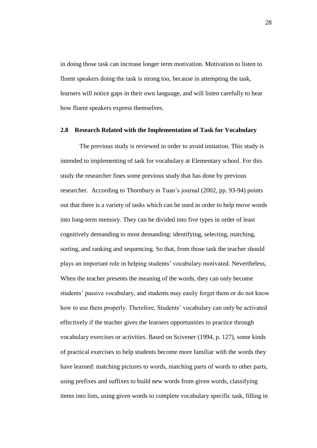in doing those task can increase longer term motivation. Motivation to listen to fluent speakers doing the task is strong too, because in attempting the task, learners will notice gaps in their own language, and will listen carefully to hear how fluent speakers express themselves.

#### **2.8 Research Related with the Implementation of Task for Vocabulary**

The previous study is reviewed in order to avoid imitation. This study is intended to implementing of task for vocabulary at Elementary school. For this study the researcher fines some previous study that has done by previous researcher. According to Thornbury in Tuan"s journal (2002, pp. 93-94) points out that there is a variety of tasks which can be used in order to help move words into long-term memory. They can be divided into five types in order of least cognitively demanding to most demanding: identifying, selecting, matching, sorting, and ranking and sequencing. So that, from those task the teacher should plays an important role in helping students" vocabulary motivated. Nevertheless, When the teacher presents the meaning of the words, they can only become students' passive vocabulary, and students may easily forget them or do not know how to use them properly. Therefore, Students' vocabulary can only be activated effectively if the teacher gives the learners opportunities to practice through vocabulary exercises or activities. Based on Scivener (1994, p. 127), some kinds of practical exercises to help students become more familiar with the words they have learned: matching pictures to words, matching parts of words to other parts, using prefixes and suffixes to build new words from given words, classifying items into lists, using given words to complete vocabulary specific task, filling in